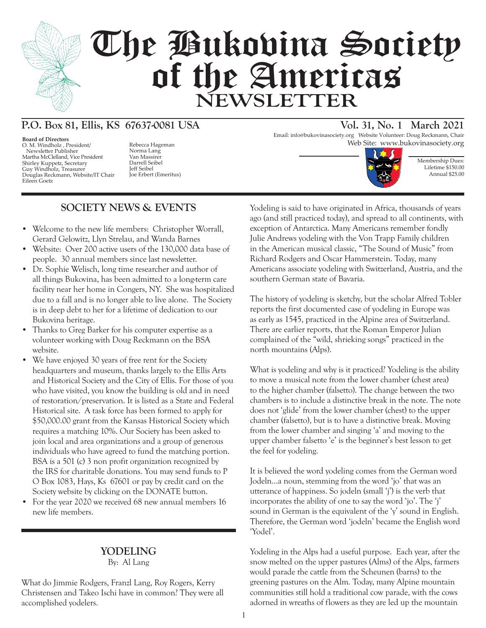

# The Bukovina Society of the Americas **NEWSLETTER**

# **P.O. Box 81, Ellis, KS 67637-0081 USA Vol. 31, No. 1 March 2021**

**Board of Directors** O. M. Windholz , President/ Newsletter Publisher Martha McClelland, Vice President Shirley Kuppetz, Secretary Guy Windholz, Treasurer Douglas Reckmann, Website/IT Chair Eileen Goetz

Norma Lang Van Massirer Darrell Seibel Jeff Seibel Joe Erbert (Emeritus)

## **SOCIETY NEWS & EVENTS**

- Welcome to the new life members: Christopher Worrall, Gerard Gelowitz, Llyn Strelau, and Wanda Barnes
- Website: Over 200 active users of the 130,000 data base of people. 30 annual members since last newsletter.
- Dr. Sophie Welisch, long time researcher and author of all things Bukovina, has been admitted to a long-term care facility near her home in Congers, NY. She was hospitalized due to a fall and is no longer able to live alone. The Society is in deep debt to her for a lifetime of dedication to our Bukovina heritage.
- Thanks to Greg Barker for his computer expertise as a volunteer working with Doug Reckmann on the BSA website.
- We have enjoyed 30 years of free rent for the Society headquarters and museum, thanks largely to the Ellis Arts and Historical Society and the City of Ellis. For those of you who have visited, you know the building is old and in need of restoration/preservation. It is listed as a State and Federal Historical site. A task force has been formed to apply for \$50,000.00 grant from the Kansas Historical Society which requires a matching 10%. Our Society has been asked to join local and area organizations and a group of generous individuals who have agreed to fund the matching portion. BSA is a 501 (c) 3 non profit organization recognized by the IRS for charitable donations. You may send funds to P O Box 1083, Hays, Ks 67601 or pay by credit card on the Society website by clicking on the DONATE button.
- For the year 2020 we received 68 new annual members 16 new life members.

#### **YODELING**

By: Al Lang

What do Jimmie Rodgers, Franzl Lang, Roy Rogers, Kerry Christensen and Takeo Ischi have in common? They were all accomplished yodelers.

Email: info@bukovinasociety.org Website Volunteer: Doug Reckmann, Chair Rebecca Hageman Web Site: www.bukovinasociety.org



Membership Dues: Lifetime \$150.00 Annual \$25.00

Yodeling is said to have originated in Africa, thousands of years ago (and still practiced today), and spread to all continents, with exception of Antarctica. Many Americans remember fondly Julie Andrews yodeling with the Von Trapp Family children in the American musical classic, "The Sound of Music" from Richard Rodgers and Oscar Hammerstein. Today, many Americans associate yodeling with Switzerland, Austria, and the southern German state of Bavaria.

The history of yodeling is sketchy, but the scholar Alfred Tobler reports the first documented case of yodeling in Europe was as early as 1545, practiced in the Alpine area of Switzerland. There are earlier reports, that the Roman Emperor Julian complained of the "wild, shrieking songs" practiced in the north mountains (Alps).

What is yodeling and why is it practiced? Yodeling is the ability to move a musical note from the lower chamber (chest area) to the higher chamber (falsetto). The change between the two chambers is to include a distinctive break in the note. The note does not 'glide' from the lower chamber (chest) to the upper chamber (falsetto), but is to have a distinctive break. Moving from the lower chamber and singing 'a' and moving to the upper chamber falsetto 'e' is the beginner's best lesson to get the feel for yodeling.

It is believed the word yodeling comes from the German word Jodeln…a noun, stemming from the word 'jo' that was an utterance of happiness. So jodeln (small 'j') is the verb that incorporates the ability of one to say the word 'jo'. The 'j' sound in German is the equivalent of the 'y' sound in English. Therefore, the German word 'jodeln' became the English word 'Yodel'.

Yodeling in the Alps had a useful purpose. Each year, after the snow melted on the upper pastures (Alms) of the Alps, farmers would parade the cattle from the Scheunen (barns) to the greening pastures on the Alm. Today, many Alpine mountain communities still hold a traditional cow parade, with the cows adorned in wreaths of flowers as they are led up the mountain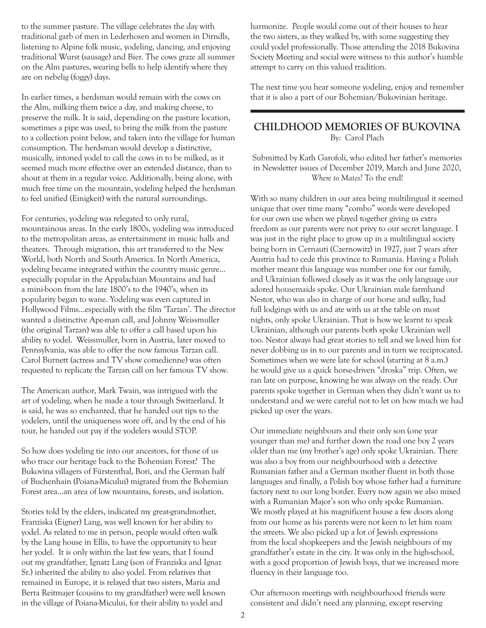to the summer pasture. The village celebrates the day with traditional garb of men in Lederhosen and women in Dirndls, listening to Alpine folk music, yodeling, dancing, and enjoying traditional Wurst (sausage) and Bier. The cows graze all summer on the Alm pastures, wearing bells to help identify where they are on nebelig (foggy) days.

In earlier times, a herdsman would remain with the cows on the Alm, milking them twice a day, and making cheese, to preserve the milk. It is said, depending on the pasture location, sometimes a pipe was used, to bring the milk from the pasture to a collection point below, and taken into the village for human consumption. The herdsman would develop a distinctive, musically, intoned yodel to call the cows in to be milked, as it seemed much more effective over an extended distance, than to shout at them in a regular voice. Additionally, being alone, with much free time on the mountain, yodeling helped the herdsman to feel unified (Einigkeit) with the natural surroundings.

For centuries, yodeling was relegated to only rural, mountainous areas. In the early 1800s, yodeling was introduced to the metropolitan areas, as entertainment in music halls and theaters. Through migration, this art transferred to the New World, both North and South America. In North America, yodeling became integrated within the country music genre… especially popular in the Appalachian Mountains and had a mini-boon from the late 1800's to the 1940's, when its popularity began to wane. Yodeling was even captured in Hollywood Films…especially with the film 'Tarzan'. The director wanted a distinctive Ape-man call, and Johnny Weissmuller (the original Tarzan) was able to offer a call based upon his ability to yodel. Weissmuller, born in Austria, later moved to Pennsylvania, was able to offer the now famous Tarzan call. Carol Burnett (actress and TV show comedienne) was often requested to replicate the Tarzan call on her famous TV show.

The American author, Mark Twain, was intrigued with the art of yodeling, when he made a tour through Switzerland. It is said, he was so enchanted, that he handed out tips to the yodelers, until the uniqueness wore off, and by the end of his tour, he handed out pay if the yodelers would STOP.

So how does yodeling tie into our ancestors, for those of us who trace our heritage back to the Bohemian Forest? The Bukovina villagers of Fürstenthal, Bori, and the German half of Buchenhain (Poiana-Micului) migrated from the Bohemian Forest area…an area of low mountains, forests, and isolation.

Stories told by the elders, indicated my great-grandmother, Franziska (Eigner) Lang, was well known for her ability to yodel. As related to me in person, people would often walk by the Lang house in Ellis, to have the opportunity to hear her yodel. It is only within the last few years, that I found out my grandfather, Ignatz Lang (son of Franziska and Ignaz Sr.) inherited the ability to also yodel. From relatives that remained in Europe, it is relayed that two sisters, Maria and Berta Reitmajer (cousins to my grandfather) were well known in the village of Poiana-Micului, for their ability to yodel and

harmonize. People would come out of their houses to hear the two sisters, as they walked by, with some suggesting they could yodel professionally. Those attending the 2018 Bukovina Society Meeting and social were witness to this author's humble attempt to carry on this valued tradition.

The next time you hear someone yodeling, enjoy and remember that it is also a part of our Bohemian/Bukovinian heritage.

#### **CHILDHOOD MEMORIES OF BUKOVINA** By: Carol Plach

Submitted by Kath Garofoli, who edited her father's memories in Newsletter issues of December 2019, March and June 2020, *Where to Mates*? To the end!

With so many children in our area being multilingual it seemed unique that over time many "combo" words were developed for our own use when we played together giving us extra freedom as our parents were not privy to our secret language. I was just in the right place to grow up in a multilingual society being born in Cernauti (Czernowitz) in 1927, just 7 years after Austria had to cede this province to Rumania. Having a Polish mother meant this language was number one for our family, and Ukrainian followed closely as it was the only language our adored housemaids spoke. Our Ukrainian male farmhand Nestor, who was also in charge of our horse and sulky, had full lodgings with us and ate with us at the table on most nights, only spoke Ukrainian. That is how we learnt to speak Ukrainian, although our parents both spoke Ukrainian well too. Nestor always had great stories to tell and we loved him for never dobbing us in to our parents and in turn we reciprocated. Sometimes when we were late for school (starting at 8 a.m.) he would give us a quick horse-driven "droska" trip. Often, we ran late on purpose, knowing he was always on the ready. Our parents spoke together in German when they didn't want us to understand and we were careful not to let on how much we had picked up over the years.

Our immediate neighbours and their only son (one year younger than me) and further down the road one boy 2 years older than me (my brother's age) only spoke Ukrainian. There was also a boy from our neighbourhood with a detective Rumanian father and a German mother fluent in both those languages and finally, a Polish boy whose father had a furniture factory next to our long border. Every now again we also mixed with a Rumanian Major's son who only spoke Rumanian. We mostly played at his magnificent house a few doors along from our home as his parents were not keen to let him roam the streets. We also picked up a lot of Jewish expressions from the local shopkeepers and the Jewish neighbours of my grandfather's estate in the city. It was only in the high-school, with a good proportion of Jewish boys, that we increased more fluency in their language too.

Our afternoon meetings with neighbourhood friends were consistent and didn't need any planning, except reserving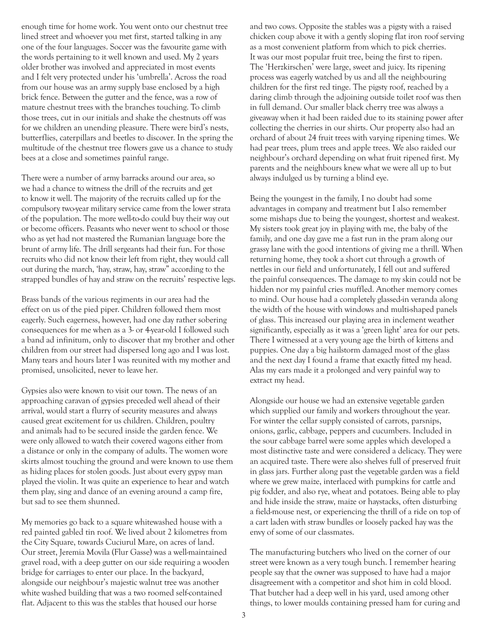enough time for home work. You went onto our chestnut tree lined street and whoever you met first, started talking in any one of the four languages. Soccer was the favourite game with the words pertaining to it well known and used. My 2 years older brother was involved and appreciated in most events and I felt very protected under his 'umbrella'. Across the road from our house was an army supply base enclosed by a high brick fence. Between the gutter and the fence, was a row of mature chestnut trees with the branches touching. To climb those trees, cut in our initials and shake the chestnuts off was for we children an unending pleasure. There were bird's nests, butterflies, caterpillars and beetles to discover. In the spring the multitude of the chestnut tree flowers gave us a chance to study bees at a close and sometimes painful range.

There were a number of army barracks around our area, so we had a chance to witness the drill of the recruits and get to know it well. The majority of the recruits called up for the compulsory two-year military service came from the lower strata of the population. The more well-to-do could buy their way out or become officers. Peasants who never went to school or those who as yet had not mastered the Rumanian language bore the brunt of army life. The drill sergeants had their fun. For those recruits who did not know their left from right, they would call out during the march, 'hay, straw, hay, straw" according to the strapped bundles of hay and straw on the recruits' respective legs.

Brass bands of the various regiments in our area had the effect on us of the pied piper. Children followed them most eagerly. Such eagerness, however, had one day rather sobering consequences for me when as a 3- or 4-year-old I followed such a band ad infinitum, only to discover that my brother and other children from our street had dispersed long ago and I was lost. Many tears and hours later I was reunited with my mother and promised, unsolicited, never to leave her.

Gypsies also were known to visit our town. The news of an approaching caravan of gypsies preceded well ahead of their arrival, would start a flurry of security measures and always caused great excitement for us children. Children, poultry and animals had to be secured inside the garden fence. We were only allowed to watch their covered wagons either from a distance or only in the company of adults. The women wore skirts almost touching the ground and were known to use them as hiding places for stolen goods. Just about every gypsy man played the violin. It was quite an experience to hear and watch them play, sing and dance of an evening around a camp fire, but sad to see them shunned.

My memories go back to a square whitewashed house with a red painted gabled tin roof. We lived about 2 kilometres from the City Square, towards Cuciurul Mare, on acres of land. Our street, Jeremia Movila (Flur Gasse) was a well-maintained gravel road, with a deep gutter on our side requiring a wooden bridge for carriages to enter our place. In the backyard, alongside our neighbour's majestic walnut tree was another white washed building that was a two roomed self-contained flat. Adjacent to this was the stables that housed our horse

and two cows. Opposite the stables was a pigsty with a raised chicken coup above it with a gently sloping flat iron roof serving as a most convenient platform from which to pick cherries. It was our most popular fruit tree, being the first to ripen. The 'Herzkirschen' were large, sweet and juicy. Its ripening process was eagerly watched by us and all the neighbouring children for the first red tinge. The pigsty roof, reached by a daring climb through the adjoining outside toilet roof was then in full demand. Our smaller black cherry tree was always a giveaway when it had been raided due to its staining power after collecting the cherries in our shirts. Our property also had an orchard of about 24 fruit trees with varying ripening times. We had pear trees, plum trees and apple trees. We also raided our neighbour's orchard depending on what fruit ripened first. My parents and the neighbours knew what we were all up to but always indulged us by turning a blind eye.

Being the youngest in the family, I no doubt had some advantages in company and treatment but I also remember some mishaps due to being the youngest, shortest and weakest. My sisters took great joy in playing with me, the baby of the family, and one day gave me a fast run in the pram along our grassy lane with the good intentions of giving me a thrill. When returning home, they took a short cut through a growth of nettles in our field and unfortunately, I fell out and suffered the painful consequences. The damage to my skin could not be hidden nor my painful cries muffled. Another memory comes to mind. Our house had a completely glassed-in veranda along the width of the house with windows and multi-shaped panels of glass. This increased our playing area in inclement weather significantly, especially as it was a 'green light' area for our pets. There I witnessed at a very young age the birth of kittens and puppies. One day a big hailstorm damaged most of the glass and the next day I found a frame that exactly fitted my head. Alas my ears made it a prolonged and very painful way to extract my head.

Alongside our house we had an extensive vegetable garden which supplied our family and workers throughout the year. For winter the cellar supply consisted of carrots, parsnips, onions, garlic, cabbage, peppers and cucumbers. Included in the sour cabbage barrel were some apples which developed a most distinctive taste and were considered a delicacy. They were an acquired taste. There were also shelves full of preserved fruit in glass jars. Further along past the vegetable garden was a field where we grew maize, interlaced with pumpkins for cattle and pig fodder, and also rye, wheat and potatoes. Being able to play and hide inside the straw, maize or haystacks, often disturbing a field-mouse nest, or experiencing the thrill of a ride on top of a cart laden with straw bundles or loosely packed hay was the envy of some of our classmates.

The manufacturing butchers who lived on the corner of our street were known as a very tough bunch. I remember hearing people say that the owner was supposed to have had a major disagreement with a competitor and shot him in cold blood. That butcher had a deep well in his yard, used among other things, to lower moulds containing pressed ham for curing and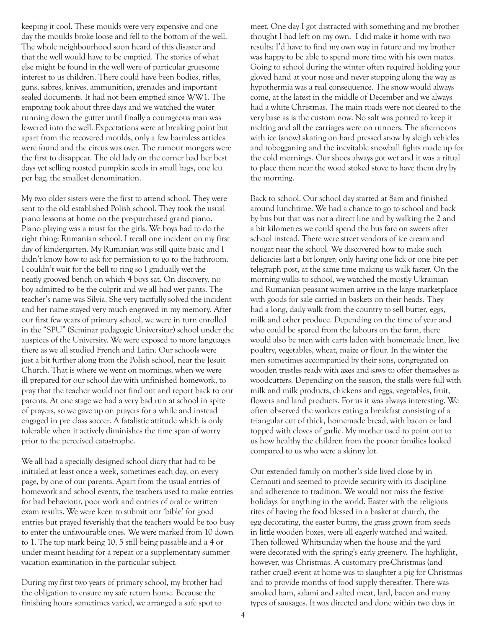keeping it cool. These moulds were very expensive and one day the moulds broke loose and fell to the bottom of the well. The whole neighbourhood soon heard of this disaster and that the well would have to be emptied. The stories of what else might be found in the well were of particular gruesome interest to us children. There could have been bodies, rifles, guns, sabres, knives, ammunition, grenades and important sealed documents. It had not been emptied since WW1. The emptying took about three days and we watched the water running down the gutter until finally a courageous man was lowered into the well. Expectations were at breaking point but apart from the recovered moulds, only a few harmless articles were found and the circus was over. The rumour mongers were the first to disappear. The old lady on the corner had her best days yet selling roasted pumpkin seeds in small bags, one leu per bag, the smallest denomination.

My two older sisters were the first to attend school. They were sent to the old established Polish school. They took the usual piano lessons at home on the pre-purchased grand piano. Piano playing was a must for the girls. We boys had to do the right thing: Rumanian school. I recall one incident on my first day of kindergarten. My Rumanian was still quite basic and I didn't know how to ask for permission to go to the bathroom. I couldn't wait for the bell to ring so I gradually wet the neatly grooved bench on which 4 boys sat. On discovery, no boy admitted to be the culprit and we all had wet pants. The teacher's name was Silvia. She very tactfully solved the incident and her name stayed very much engraved in my memory. After our first few years of primary school, we were in turn enrolled in the "SPU" (Seminar pedagogic Universitar) school under the auspices of the University. We were exposed to more languages there as we all studied French and Latin. Our schools were just a bit further along from the Polish school, near the Jesuit Church. That is where we went on mornings, when we were ill prepared for our school day with unfinished homework, to pray that the teacher would not find out and report back to our parents. At one stage we had a very bad run at school in spite of prayers, so we gave up on prayers for a while and instead engaged in pre class soccer. A fatalistic attitude which is only tolerable when it actively diminishes the time span of worry prior to the perceived catastrophe.

We all had a specially designed school diary that had to be initialed at least once a week, sometimes each day, on every page, by one of our parents. Apart from the usual entries of homework and school events, the teachers used to make entries for bad behaviour, poor work and entries of oral or written exam results. We were keen to submit our 'bible' for good entries but prayed feverishly that the teachers would be too busy to enter the unfavourable ones. We were marked from 10 down to 1. The top mark being 10, 5 still being passable and a 4 or under meant heading for a repeat or a supplementary summer vacation examination in the particular subject.

During my first two years of primary school, my brother had the obligation to ensure my safe return home. Because the finishing hours sometimes varied, we arranged a safe spot to

meet. One day I got distracted with something and my brother thought I had left on my own. I did make it home with two results: I'd have to find my own way in future and my brother was happy to be able to spend more time with his own mates. Going to school during the winter often required holding your gloved hand at your nose and never stopping along the way as hypothermia was a real consequence. The snow would always come, at the latest in the middle of December and we always had a white Christmas. The main roads were not cleared to the very base as is the custom now. No salt was poured to keep it melting and all the carriages were on runners. The afternoons with ice (snow) skating on hard pressed snow by sleigh vehicles and tobogganing and the inevitable snowball fights made up for the cold mornings. Our shoes always got wet and it was a ritual to place them near the wood stoked stove to have them dry by the morning.

Back to school. Our school day started at 8am and finished around lunchtime. We had a chance to go to school and back by bus but that was not a direct line and by walking the 2 and a bit kilometres we could spend the bus fare on sweets after school instead. There were street vendors of ice cream and nougat near the school. We discovered how to make such delicacies last a bit longer; only having one lick or one bite per telegraph post, at the same time making us walk faster. On the morning walks to school, we watched the mostly Ukrainian and Rumanian peasant women arrive in the large marketplace with goods for sale carried in baskets on their heads. They had a long, daily walk from the country to sell butter, eggs, milk and other produce. Depending on the time of year and who could be spared from the labours on the farm, there would also be men with carts laden with homemade linen, live poultry, vegetables, wheat, maize or flour. In the winter the men sometimes accompanied by their sons, congregated on wooden trestles ready with axes and saws to offer themselves as woodcutters. Depending on the season, the stalls were full with milk and milk products, chickens and eggs, vegetables, fruit, flowers and land products. For us it was always interesting. We often observed the workers eating a breakfast consisting of a triangular cut of thick, homemade bread, with bacon or lard topped with cloves of garlic. My mother used to point out to us how healthy the children from the poorer families looked compared to us who were a skinny lot.

Our extended family on mother's side lived close by in Cernauti and seemed to provide security with its discipline and adherence to tradition. We would not miss the festive holidays for anything in the world. Easter with the religious rites of having the food blessed in a basket at church, the egg decorating, the easter bunny, the grass grown from seeds in little wooden boxes, were all eagerly watched and waited. Then followed Whitsunday when the house and the yard were decorated with the spring's early greenery. The highlight, however, was Christmas. A customary pre-Christmas (and rather cruel) event at home was to slaughter a pig for Christmas and to provide months of food supply thereafter. There was smoked ham, salami and salted meat, lard, bacon and many types of sausages. It was directed and done within two days in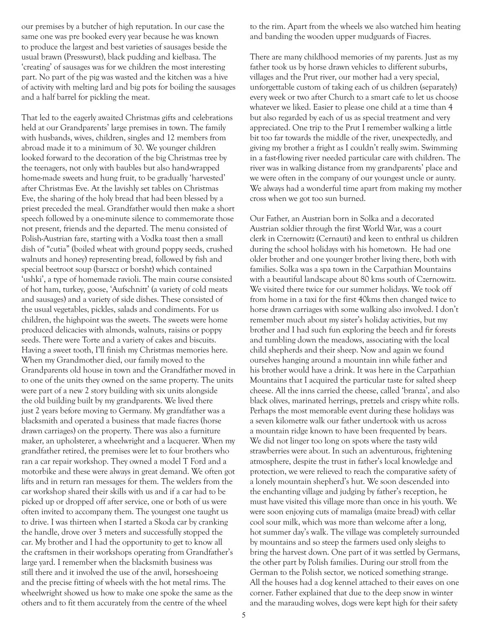our premises by a butcher of high reputation. In our case the same one was pre booked every year because he was known to produce the largest and best varieties of sausages beside the usual brawn (Presswurst), black pudding and kielbasa. The 'creating' of sausages was for we children the most interesting part. No part of the pig was wasted and the kitchen was a hive of activity with melting lard and big pots for boiling the sausages and a half barrel for pickling the meat.

That led to the eagerly awaited Christmas gifts and celebrations held at our Grandparents' large premises in town. The family with husbands, wives, children, singles and 12 members from abroad made it to a minimum of 30. We younger children looked forward to the decoration of the big Christmas tree by the teenagers, not only with baubles but also hand-wrapped home-made sweets and hung fruit, to be gradually 'harvested' after Christmas Eve. At the lavishly set tables on Christmas Eve, the sharing of the holy bread that had been blessed by a priest preceded the meal. Grandfather would then make a short speech followed by a one-minute silence to commemorate those not present, friends and the departed. The menu consisted of Polish-Austrian fare, starting with a Vodka toast then a small dish of "cutia" (boiled wheat with ground poppy seeds, crushed walnuts and honey) representing bread, followed by fish and special beetroot soup (barszcz or borsht) which contained 'ushki', a type of homemade ravioli. The main course consisted of hot ham, turkey, goose, 'Aufschnitt' (a variety of cold meats and sausages) and a variety of side dishes. These consisted of the usual vegetables, pickles, salads and condiments. For us children, the highpoint was the sweets. The sweets were home produced delicacies with almonds, walnuts, raisins or poppy seeds. There were Torte and a variety of cakes and biscuits. Having a sweet tooth, I'll finish my Christmas memories here. When my Grandmother died, our family moved to the Grandparents old house in town and the Grandfather moved in to one of the units they owned on the same property. The units were part of a new 2 story building with six units alongside the old building built by my grandparents. We lived there just 2 years before moving to Germany. My grandfather was a blacksmith and operated a business that made fiacres (horse drawn carriages) on the property. There was also a furniture maker, an upholsterer, a wheelwright and a lacquerer. When my grandfather retired, the premises were let to four brothers who ran a car repair workshop. They owned a model T Ford and a motorbike and these were always in great demand. We often got lifts and in return ran messages for them. The welders from the car workshop shared their skills with us and if a car had to be picked up or dropped off after service, one or both of us were often invited to accompany them. The youngest one taught us to drive. I was thirteen when I started a Skoda car by cranking the handle, drove over 3 meters and successfully stopped the car. My brother and I had the opportunity to get to know all the craftsmen in their workshops operating from Grandfather's large yard. I remember when the blacksmith business was still there and it involved the use of the anvil, horseshoeing and the precise fitting of wheels with the hot metal rims. The wheelwright showed us how to make one spoke the same as the others and to fit them accurately from the centre of the wheel

to the rim. Apart from the wheels we also watched him heating and banding the wooden upper mudguards of Fiacres.

There are many childhood memories of my parents. Just as my father took us by horse drawn vehicles to different suburbs, villages and the Prut river, our mother had a very special, unforgettable custom of taking each of us children (separately) every week or two after Church to a smart cafe to let us choose whatever we liked. Easier to please one child at a time than 4 but also regarded by each of us as special treatment and very appreciated. One trip to the Prut I remember walking a little bit too far towards the middle of the river, unexpectedly, and giving my brother a fright as I couldn't really swim. Swimming in a fast-flowing river needed particular care with children. The river was in walking distance from my grandparents' place and we were often in the company of our youngest uncle or aunty. We always had a wonderful time apart from making my mother cross when we got too sun burned.

Our Father, an Austrian born in Solka and a decorated Austrian soldier through the first World War, was a court clerk in Czernowitz (Cernauti) and keen to enthral us children during the school holidays with his hometown. He had one older brother and one younger brother living there, both with families. Solka was a spa town in the Carpathian Mountains with a beautiful landscape about 80 kms south of Czernowitz. We visited there twice for our summer holidays. We took off from home in a taxi for the first 40kms then changed twice to horse drawn carriages with some walking also involved. I don't remember much about my sister's holiday activities, but my brother and I had such fun exploring the beech and fir forests and tumbling down the meadows, associating with the local child shepherds and their sheep. Now and again we found ourselves hanging around a mountain inn while father and his brother would have a drink. It was here in the Carpathian Mountains that I acquired the particular taste for salted sheep cheese. All the inns carried the cheese, called 'branza', and also black olives, marinated herrings, pretzels and crispy white rolls. Perhaps the most memorable event during these holidays was a seven kilometre walk our father undertook with us across a mountain ridge known to have been frequented by bears. We did not linger too long on spots where the tasty wild strawberries were about. In such an adventurous, frightening atmosphere, despite the trust in father's local knowledge and protection, we were relieved to reach the comparative safety of a lonely mountain shepherd's hut. We soon descended into the enchanting village and judging by father's reception, he must have visited this village more than once in his youth. We were soon enjoying cuts of mamaliga (maize bread) with cellar cool sour milk, which was more than welcome after a long, hot summer day's walk. The village was completely surrounded by mountains and so steep the farmers used only sleighs to bring the harvest down. One part of it was settled by Germans, the other part by Polish families. During our stroll from the German to the Polish sector, we noticed something strange. All the houses had a dog kennel attached to their eaves on one corner. Father explained that due to the deep snow in winter and the marauding wolves, dogs were kept high for their safety